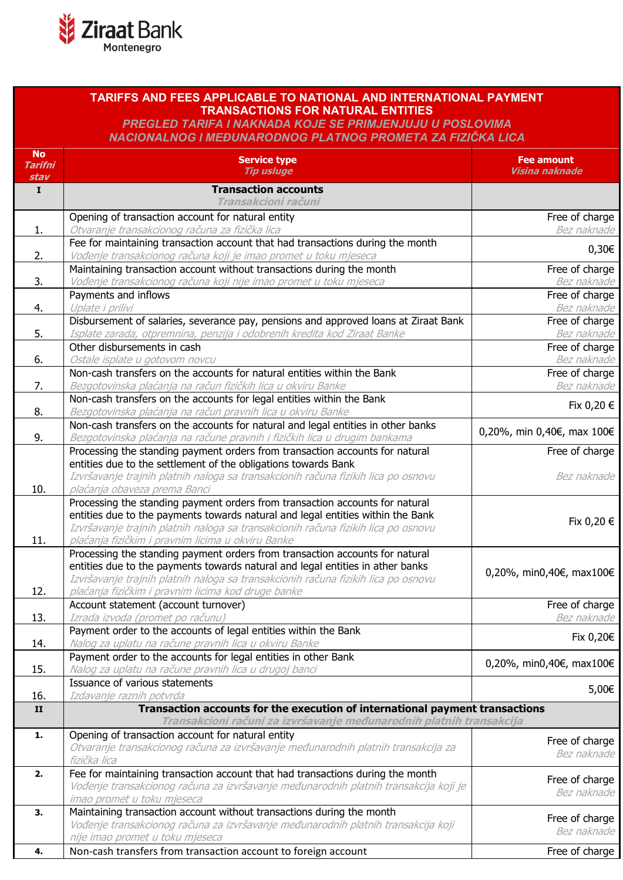

## **TARIFFS AND FEES APPLICABLE TO NATIONAL AND INTERNATIONAL PAYMENT TRANSACTIONS FOR NATURAL ENTITIES**

*PREGLED TARIFA I NAKNADA KOJE SE PRIMJENJUJU U POSLOVIMA NACIONALNOG I MEĐUNARODNOG PLATNOG PROMETA ZA FIZIČKA LICA*

| <b>No</b><br><b>Tarifni</b><br>stav | <b>Service type</b><br><b>Tip usluge</b>                                                                                               | <b>Fee amount</b><br>Visina naknade |
|-------------------------------------|----------------------------------------------------------------------------------------------------------------------------------------|-------------------------------------|
| $\mathbf I$                         | <b>Transaction accounts</b>                                                                                                            |                                     |
|                                     | Transakcioni računi                                                                                                                    |                                     |
|                                     | Opening of transaction account for natural entity                                                                                      | Free of charge                      |
| 1.                                  | Otvaranje transakcionog računa za fizička lica                                                                                         | Bez naknade                         |
|                                     | Fee for maintaining transaction account that had transactions during the month                                                         | $0,30 \in$                          |
| 2.                                  | Vođenje transakcionog računa koji je imao promet u toku mjeseca                                                                        |                                     |
|                                     | Maintaining transaction account without transactions during the month                                                                  | Free of charge                      |
| 3.                                  | Vođenje transakcionog računa koji nije imao promet u toku mjeseca                                                                      | Bez naknade                         |
|                                     | Payments and inflows                                                                                                                   | Free of charge                      |
| 4.                                  | Uplate i prilivi                                                                                                                       | Bez naknade                         |
|                                     | Disbursement of salaries, severance pay, pensions and approved loans at Ziraat Bank                                                    | Free of charge                      |
| 5.                                  | Isplate zarada, otpremnina, penzija i odobrenih kredita kod Ziraat Banke                                                               | Bez naknade                         |
|                                     | Other disbursements in cash                                                                                                            | Free of charge                      |
| 6.                                  | Ostale isplate u gotovom novcu                                                                                                         | Bez naknade                         |
|                                     | Non-cash transfers on the accounts for natural entities within the Bank                                                                | Free of charge                      |
| 7.                                  | Bezgotovinska plaćanja na račun fizičkih lica u okviru Banke                                                                           | Bez naknade                         |
|                                     | Non-cash transfers on the accounts for legal entities within the Bank                                                                  | Fix 0,20 €                          |
| 8.                                  | Bezgotovinska plaćanja na račun pravnih lica u okviru Banke                                                                            |                                     |
|                                     | Non-cash transfers on the accounts for natural and legal entities in other banks                                                       | 0,20%, min 0,40€, max 100€          |
| 9.                                  | Bezgotovinska plaćanja na račune pravnih i fizičkih lica u drugim bankama                                                              |                                     |
|                                     | Processing the standing payment orders from transaction accounts for natural                                                           | Free of charge                      |
|                                     | entities due to the settlement of the obligations towards Bank                                                                         |                                     |
|                                     | Izvršavanje trajnih platnih naloga sa transakcionih računa fizikih lica po osnovu                                                      | Bez naknade                         |
| 10.                                 | plaćanja obaveza prema Banci                                                                                                           |                                     |
|                                     | Processing the standing payment orders from transaction accounts for natural                                                           |                                     |
|                                     | entities due to the payments towards natural and legal entities within the Bank                                                        | Fix 0,20 €                          |
| 11.                                 | Izvršavanje trajnih platnih naloga sa transakcionih računa fizikih lica po osnovu<br>plaćanja fizičkim i pravnim licima u okviru Banke |                                     |
|                                     | Processing the standing payment orders from transaction accounts for natural                                                           |                                     |
|                                     | entities due to the payments towards natural and legal entities in ather banks                                                         |                                     |
|                                     | Izvršavanje trajnih platnih naloga sa transakcionih računa fizikih lica po osnovu                                                      | 0,20%, min0,40€, max100€            |
| 12.                                 | plaćanja fizičkim i pravnim licima kod druge banke                                                                                     |                                     |
|                                     | Account statement (account turnover)                                                                                                   | Free of charge                      |
| 13.                                 | Izrada izvoda (promet po računu)                                                                                                       | Bez naknade                         |
|                                     | Payment order to the accounts of legal entities within the Bank                                                                        |                                     |
| 14.                                 | Nalog za uplatu na račune pravnih lica u okviru Banke                                                                                  | Fix 0,20€                           |
|                                     | Payment order to the accounts for legal entities in other Bank                                                                         |                                     |
| 15.                                 | Nalog za uplatu na račune pravnih lica u drugoj banci                                                                                  | 0,20%, min0,40€, max100€            |
|                                     | Issuance of various statements                                                                                                         |                                     |
| 16.                                 | Izdavanje raznih potvrda                                                                                                               | 5,00€                               |
| $\mathbf{I}$                        | Transaction accounts for the execution of international payment transactions                                                           |                                     |
|                                     | Transakcioni računi za izvršavanje međunarodnih platnih transakcija                                                                    |                                     |
| 1.                                  | Opening of transaction account for natural entity                                                                                      |                                     |
|                                     | Otvaranje transakcionog računa za izvršavanje međunarodnih platnih transakcija za                                                      | Free of charge<br>Bez naknade       |
|                                     | fizička lica                                                                                                                           |                                     |
| 2.                                  | Fee for maintaining transaction account that had transactions during the month                                                         | Free of charge                      |
|                                     | Vođenje transakcionog računa za izvršavanje međunarodnih platnih transakcija koji je                                                   | Bez naknade                         |
|                                     | imao promet u toku mjeseca                                                                                                             |                                     |
| 3.                                  | Maintaining transaction account without transactions during the month                                                                  | Free of charge                      |
|                                     | Vođenje transakcionog računa za izvršavanje međunarodnih platnih transakcija koji                                                      | Bez naknade                         |
|                                     | nije imao promet u toku mjeseca                                                                                                        |                                     |
| 4.                                  | Non-cash transfers from transaction account to foreign account                                                                         | Free of charge                      |